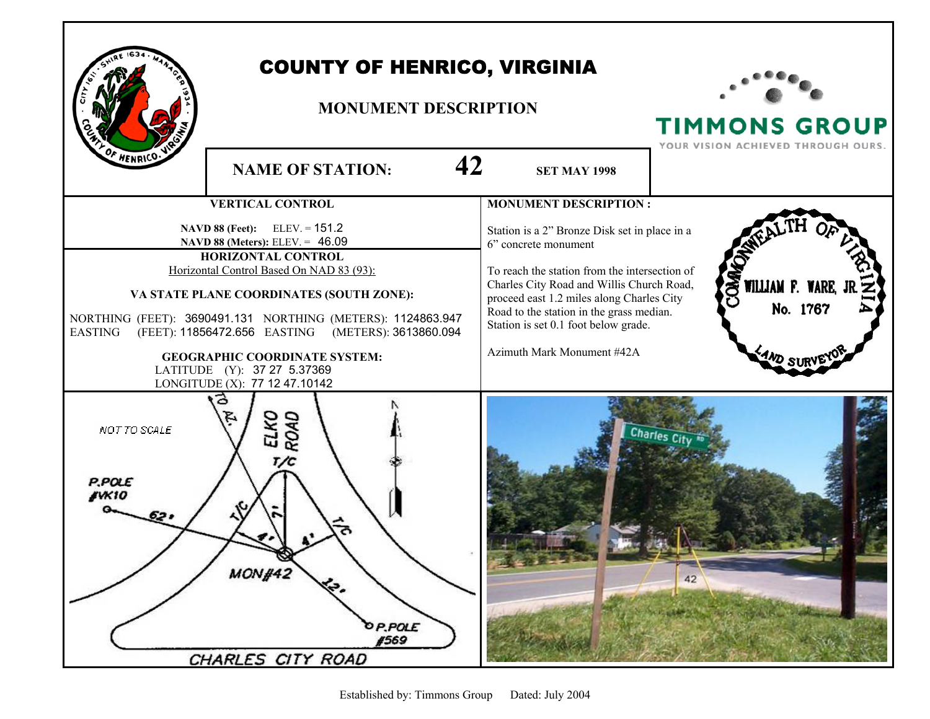